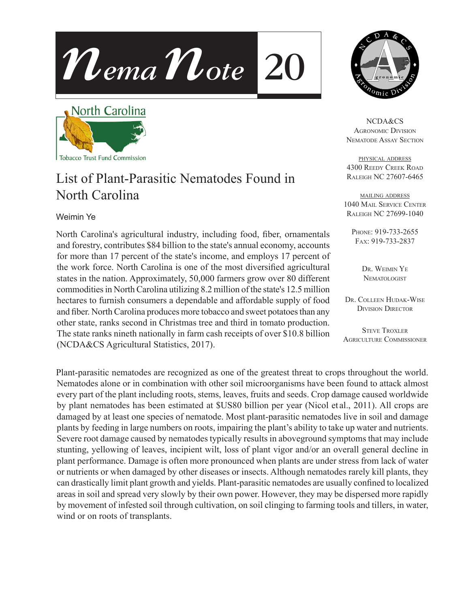



## List of Plant-Parasitic Nematodes Found in North Carolina

## Weimin Ye

North Carolina's agricultural industry, including food, fiber, ornamentals and forestry, contributes \$84 billion to the state's annual economy, accounts for more than 17 percent of the state's income, and employs 17 percent of the work force. North Carolina is one of the most diversified agricultural states in the nation. Approximately, 50,000 farmers grow over 80 different commodities in North Carolina utilizing 8.2 million of the state's 12.5 million hectares to furnish consumers a dependable and affordable supply of food and fiber. North Carolina produces more tobacco and sweet potatoes than any other state, ranks second in Christmas tree and third in tomato production. The state ranks nineth nationally in farm cash receipts of over \$10.8 billion (NCDA&CS Agricultural Statistics, 2017).

Plant-parasitic nematodes are recognized as one of the greatest threat to crops throughout the world. Nematodes alone or in combination with other soil microorganisms have been found to attack almost every part of the plant including roots, stems, leaves, fruits and seeds. Crop damage caused worldwide by plant nematodes has been estimated at \$US80 billion per year (Nicol et al., 2011). All crops are damaged by at least one species of nematode. Most plant-parasitic nematodes live in soil and damage plants by feeding in large numbers on roots, impairing the plant's ability to take up water and nutrients. Severe root damage caused by nematodes typically results in aboveground symptoms that may include stunting, yellowing of leaves, incipient wilt, loss of plant vigor and/or an overall general decline in plant performance. Damage is often more pronounced when plants are under stress from lack of water or nutrients or when damaged by other diseases or insects. Although nematodes rarely kill plants, they can drastically limit plant growth and yields. Plant-parasitic nematodes are usually confined to localized areas in soil and spread very slowly by their own power. However, they may be dispersed more rapidly by movement of infested soil through cultivation, on soil clinging to farming tools and tillers, in water, wind or on roots of transplants.



NCDA&CS Agronomic Division Nematode Assay Section

physical address 4300 Reedy Creek Road Raleigh NC 27607-6465

mailing address 1040 Mail Service Center Raleigh NC 27699-1040

Phone: 919-733-2655 Fax: 919-733-2837

> DR. WEIMIN YE **NEMATOLOGIST**

Dr. Colleen Hudak-Wise Division Director

**STEVE TROXLER** Agriculture Commissioner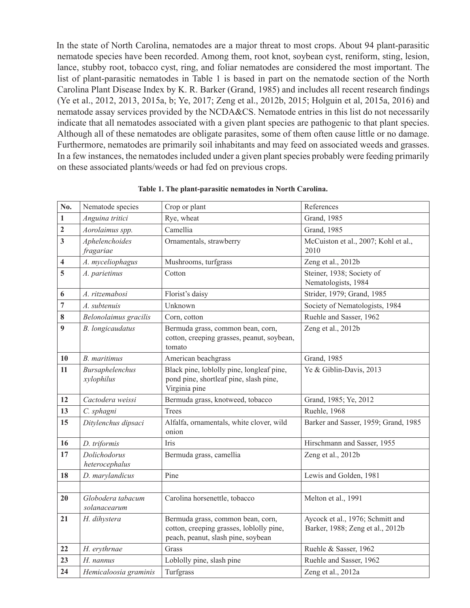In the state of North Carolina, nematodes are a major threat to most crops. About 94 plant-parasitic nematode species have been recorded. Among them, root knot, soybean cyst, reniform, sting, lesion, lance, stubby root, tobacco cyst, ring, and foliar nematodes are considered the most important. The list of plant-parasitic nematodes in Table 1 is based in part on the nematode section of the North Carolina Plant Disease Index by K. R. Barker (Grand, 1985) and includes all recent research findings (Ye et al., 2012, 2013, 2015a, b; Ye, 2017; Zeng et al., 2012b, 2015; Holguin et al, 2015a, 2016) and nematode assay services provided by the NCDA&CS. Nematode entries in this list do not necessarily indicate that all nematodes associated with a given plant species are pathogenic to that plant species. Although all of these nematodes are obligate parasites, some of them often cause little or no damage. Furthermore, nematodes are primarily soil inhabitants and may feed on associated weeds and grasses. In a few instances, the nematodes included under a given plant species probably were feeding primarily on these associated plants/weeds or had fed on previous crops.

| No.                     | Nematode species                  | Crop or plant                                                                                                                 | References                                                           |
|-------------------------|-----------------------------------|-------------------------------------------------------------------------------------------------------------------------------|----------------------------------------------------------------------|
| $\mathbf{1}$            | Anguina tritici                   | Rye, wheat                                                                                                                    | Grand, 1985                                                          |
| $\overline{2}$          | Aorolaimus SS.                    | Camellia                                                                                                                      | Grand, 1985                                                          |
| $\mathbf{3}$            | Aphelenchoides<br>fragariae       | Ornamentals, strawberry                                                                                                       | McCuiston et al., 2007; Kohl et al.,<br>2010                         |
| $\overline{\mathbf{4}}$ | A. myceliophagus                  | Mushrooms, turfgrass                                                                                                          | Zeng et al., 2012b                                                   |
| 5                       | A. parietinus                     | Cotton                                                                                                                        | Steiner, 1938; Society of<br>Nematologists, 1984                     |
| 6                       | A. ritzemabosi                    | Florist's daisy                                                                                                               | Strider, 1979; Grand, 1985                                           |
| $\overline{7}$          | A. subtenuis                      | Unknown                                                                                                                       | Society of Nematologists, 1984                                       |
| 8                       | Belonolaimus gracilis             | Corn, cotton                                                                                                                  | Ruehle and Sasser, 1962                                              |
| 9                       | <b>B.</b> longicaudatus           | Bermuda grass, common bean, corn,<br>cotton, creeping grasses, peanut, soybean,<br>tomato                                     | Zeng et al., 2012b                                                   |
| 10                      | B. maritimus                      | American beachgrass                                                                                                           | Grand, 1985                                                          |
| 11                      | Bursaphelenchus<br>xylophilus     | Black pine, loblolly pine, longleaf pine,<br>pond pine, shortleaf pine, slash pine,<br>Virginia pine                          | Ye & Giblin-Davis, 2013                                              |
| 12                      | Cactodera weissi                  | Bermuda grass, knotweed, tobacco                                                                                              | Grand, 1985; Ye, 2012                                                |
| 13                      | C. sphagni                        | Trees                                                                                                                         | Ruehle, 1968                                                         |
| 15                      | Ditylenchus dipsaci               | Alfalfa, ornamentals, white clover, wild<br>onion                                                                             | Barker and Sasser, 1959; Grand, 1985                                 |
| 16                      | D. triformis                      | Iris                                                                                                                          | Hirschmann and Sasser, 1955                                          |
| 17                      | Dolichodorus<br>heterocephalus    | Bermuda grass, camellia                                                                                                       | Zeng et al., 2012b                                                   |
| 18                      | D. marylandicus                   | Pine                                                                                                                          | Lewis and Golden, 1981                                               |
|                         |                                   |                                                                                                                               |                                                                      |
| 20                      | Globodera tabacum<br>solanacearum | Carolina horsenettle, tobacco                                                                                                 | Melton et al., 1991                                                  |
| 21                      | <b>HHLRHON</b>                    | dihystera Bermuda grass, common bean, corn,<br>cotton, creeping grasses, loblolly pine,<br>peach, peanut, slash pine, soybean | Aycock et al., 1976; Schmitt and<br>Barker, 1988; Zeng et al., 2012b |
| 22                      | H. erythrnae                      | Grass                                                                                                                         | Ruehle & Sasser, 1962                                                |
| 23                      | H. nannus                         | Loblolly pine, slash pine                                                                                                     | Ruehle and Sasser, 1962                                              |
| 24                      | Hemicaloosia graminis             | Turfgrass                                                                                                                     | Zeng et al., 2012a                                                   |

**Table 1. The plant-parasitic nematodes in North Carolina.**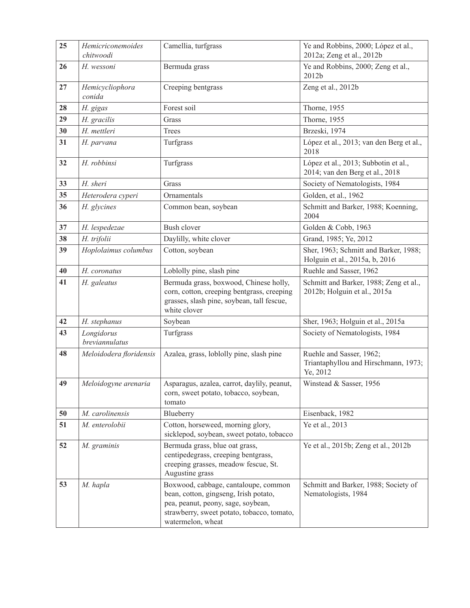| 25 | Hemicriconemoides<br>chitwoodi | Camellia, turfgrass                                                                                                                                                                    | Ye and Robbins, 2000; López et al.,<br>2012a; Zeng et al., 2012b             |
|----|--------------------------------|----------------------------------------------------------------------------------------------------------------------------------------------------------------------------------------|------------------------------------------------------------------------------|
| 26 | H. wessoni                     | Bermuda grass                                                                                                                                                                          | Ye and Robbins, 2000; Zeng et al.,<br>2012b                                  |
| 27 | Hemicycliophora<br>conida      | Creeping bentgrass                                                                                                                                                                     | Zeng et al., 2012b                                                           |
| 28 | H. gigas                       | Forest soil                                                                                                                                                                            | Thorne, 1955                                                                 |
| 29 | H. gracilis                    | Grass                                                                                                                                                                                  | Thorne, 1955                                                                 |
| 30 | H. mettleri                    | Trees                                                                                                                                                                                  | Brzeski, 1974                                                                |
| 31 | H. parvana                     | Turfgrass                                                                                                                                                                              | López et al., 2013; van den Berg et al.,<br>2018                             |
| 32 | H. robbinsi                    | Turfgrass                                                                                                                                                                              | López et al., 2013; Subbotin et al.,<br>2014; van den Berg et al., 2018      |
| 33 | H. sheri                       | Grass                                                                                                                                                                                  | Society of Nematologists, 1984                                               |
| 35 | Heterodera cyperi              | Ornamentals                                                                                                                                                                            | Golden, et al., 1962                                                         |
| 36 | H. glycines                    | Common bean, soybean                                                                                                                                                                   | Schmitt and Barker, 1988; Koenning,<br>2004                                  |
| 37 | H. lespedezae                  | <b>Bush clover</b>                                                                                                                                                                     | Golden & Cobb, 1963                                                          |
| 38 | H. trifolii                    | Daylilly, white clover                                                                                                                                                                 | Grand, 1985; Ye, 2012                                                        |
| 39 | Hoplolaimus columbus           | Cotton, soybean                                                                                                                                                                        | Sher, 1963; Schmitt and Barker, 1988;<br>Holguin et al., 2015a, b, 2016      |
| 40 | H. coronatus                   | Loblolly pine, slash pine                                                                                                                                                              | Ruehle and Sasser, 1962                                                      |
| 41 | H. galeatus                    | Bermuda grass, boxwood, Chinese holly,<br>corn, cotton, creeping bentgrass, creeping<br>grasses, slash pine, soybean, tall fescue,<br>white clover                                     | Schmitt and Barker, 1988; Zeng et al.,<br>2012b; Holguin et al., 2015a       |
| 42 | H. stephanus                   | Soybean                                                                                                                                                                                | Sher, 1963; Holguin et al., 2015a                                            |
| 43 | Longidorus<br>breviannulatus   | Turfgrass                                                                                                                                                                              | Society of Nematologists, 1984                                               |
| 48 | Meloidodera floridensis        | Azalea, grass, loblolly pine, slash pine                                                                                                                                               | Ruehle and Sasser, 1962;<br>Triantaphyllou and Hirschmann, 1973;<br>Ye, 2012 |
| 49 | Meloidogyne arenaria           | Asparagus, azalea, carrot, daylily, peanut,<br>corn, sweet potato, tobacco, soybean,<br>tomato                                                                                         | Winstead & Sasser, 1956                                                      |
| 50 | M. carolinensis                | Blueberry                                                                                                                                                                              | Eisenback, 1982                                                              |
| 51 | M. enterolobii                 | Cotton, horseweed, morning glory,<br>sicklepod, soybean, sweet potato, tobacco                                                                                                         | Ye et al., 2013                                                              |
| 52 | M. graminis                    | Bermuda grass, blue oat grass,<br>centipedegrass, creeping bentgrass,<br>creeping grasses, meadow fescue, St.<br>Augustine grass                                                       | Ye et al., 2015b; Zeng et al., 2012b                                         |
| 53 | M. hapla                       | Boxwood, cabbage, cantaloupe, common<br>bean, cotton, gingseng, Irish potato,<br>pea, peanut, peony, sage, soybean,<br>strawberry, sweet potato, tobacco, tomato,<br>watermelon, wheat | Schmitt and Barker, 1988; Society of<br>Nematologists, 1984                  |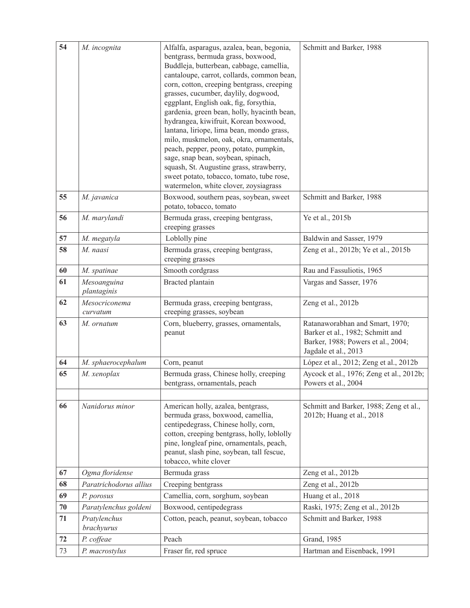| 54 | M. incognita               | Alfalfa, asparagus, azalea, bean, begonia,<br>bentgrass, bermuda grass, boxwood,<br>Buddleja, butterbean, cabbage, camellia,<br>cantaloupe, carrot, collards, common bean,<br>corn, cotton, creeping bentgrass, creeping<br>grasses, cucumber, daylily, dogwood,<br>eggplant, English oak, fig, forsythia,<br>gardenia, green bean, holly, hyacinth bean,<br>hydrangea, kiwifruit, Korean boxwood,<br>lantana, liriope, lima bean, mondo grass,<br>milo, muskmelon, oak, okra, ornamentals,<br>peach, pepper, peony, potato, pumpkin,<br>sage, snap bean, soybean, spinach,<br>squash, St. Augustine grass, strawberry,<br>sweet potato, tobacco, tomato, tube rose,<br>watermelon, white clover, zoysiagrass | Schmitt and Barker, 1988                                                                                                          |
|----|----------------------------|---------------------------------------------------------------------------------------------------------------------------------------------------------------------------------------------------------------------------------------------------------------------------------------------------------------------------------------------------------------------------------------------------------------------------------------------------------------------------------------------------------------------------------------------------------------------------------------------------------------------------------------------------------------------------------------------------------------|-----------------------------------------------------------------------------------------------------------------------------------|
| 55 | M. javanica                | Boxwood, southern peas, soybean, sweet<br>potato, tobacco, tomato                                                                                                                                                                                                                                                                                                                                                                                                                                                                                                                                                                                                                                             | Schmitt and Barker, 1988                                                                                                          |
| 56 | M. marylandi               | Bermuda grass, creeping bentgrass,<br>creeping grasses                                                                                                                                                                                                                                                                                                                                                                                                                                                                                                                                                                                                                                                        | Ye et al., 2015b                                                                                                                  |
| 57 | M. megatyla                | Loblolly pine                                                                                                                                                                                                                                                                                                                                                                                                                                                                                                                                                                                                                                                                                                 | Baldwin and Sasser, 1979                                                                                                          |
| 58 | M. naasi                   | Bermuda grass, creeping bentgrass,<br>creeping grasses                                                                                                                                                                                                                                                                                                                                                                                                                                                                                                                                                                                                                                                        | Zeng et al., 2012b; Ye et al., 2015b                                                                                              |
| 60 | M. spatinae                | Smooth cordgrass                                                                                                                                                                                                                                                                                                                                                                                                                                                                                                                                                                                                                                                                                              | Rau and Fassuliotis, 1965                                                                                                         |
| 61 | Mesoanguina<br>plantaginis | <b>Bracted</b> plantain                                                                                                                                                                                                                                                                                                                                                                                                                                                                                                                                                                                                                                                                                       | Vargas and Sasser, 1976                                                                                                           |
| 62 | Mesocriconema<br>curvatum  | Bermuda grass, creeping bentgrass,<br>creeping grasses, soybean                                                                                                                                                                                                                                                                                                                                                                                                                                                                                                                                                                                                                                               | Zeng et al., 2012b                                                                                                                |
| 63 | M. ornatum                 | Corn, blueberry, grasses, ornamentals,<br>peanut                                                                                                                                                                                                                                                                                                                                                                                                                                                                                                                                                                                                                                                              | Ratanaworabhan and Smart, 1970;<br>Barker et al., 1982; Schmitt and<br>Barker, 1988; Powers et al., 2004;<br>Jagdale et al., 2013 |
| 64 | M. sphaerocephalum         | Corn, peanut                                                                                                                                                                                                                                                                                                                                                                                                                                                                                                                                                                                                                                                                                                  | López et al., 2012; Zeng et al., 2012b                                                                                            |
| 65 | M. xenoplax                | Bermuda grass, Chinese holly, creeping<br>bentgrass, ornamentals, peach                                                                                                                                                                                                                                                                                                                                                                                                                                                                                                                                                                                                                                       | Aycock et al., 1976; Zeng et al., 2012b;<br>Powers et al., 2004                                                                   |
| 66 | Nanidorus minor            | American holly, azalea, bentgrass,<br>bermuda grass, boxwood, camellia,<br>centipedegrass, Chinese holly, corn,<br>cotton, creeping bentgrass, holly, loblolly<br>pine, longleaf pine, ornamentals, peach,<br>peanut, slash pine, soybean, tall fescue,<br>tobacco, white clover                                                                                                                                                                                                                                                                                                                                                                                                                              | Schmitt and Barker, 1988; Zeng et al.,<br>2012b; Huang et al., 2018                                                               |
| 67 | Ogma floridense            | Bermuda grass                                                                                                                                                                                                                                                                                                                                                                                                                                                                                                                                                                                                                                                                                                 | Zeng et al., 2012b                                                                                                                |
| 68 | Paratrichodorus allius     | Creeping bentgrass                                                                                                                                                                                                                                                                                                                                                                                                                                                                                                                                                                                                                                                                                            | Zeng et al., 2012b                                                                                                                |
| 69 | P. porosus                 | Camellia, corn, sorghum, soybean                                                                                                                                                                                                                                                                                                                                                                                                                                                                                                                                                                                                                                                                              | Huang et al., 2018                                                                                                                |
| 70 | Paratylenchus goldeni      | Boxwood, centipedegrass                                                                                                                                                                                                                                                                                                                                                                                                                                                                                                                                                                                                                                                                                       | Raski, 1975; Zeng et al., 2012b                                                                                                   |
| 71 | Pratylenchus<br>brachyurus | Cotton, peach, peanut, soybean, tobacco                                                                                                                                                                                                                                                                                                                                                                                                                                                                                                                                                                                                                                                                       | Schmitt and Barker, 1988                                                                                                          |
| 72 | P. coffeae                 | Peach                                                                                                                                                                                                                                                                                                                                                                                                                                                                                                                                                                                                                                                                                                         | Grand, 1985                                                                                                                       |
| 73 | P. macrostylus             | Fraser fir, red spruce                                                                                                                                                                                                                                                                                                                                                                                                                                                                                                                                                                                                                                                                                        | Hartman and Eisenback, 1991                                                                                                       |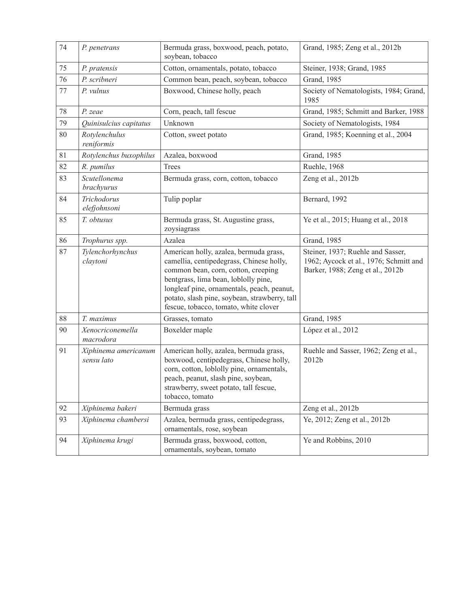| 74 | P. penetrans                       | Bermuda grass, boxwood, peach, potato,<br>soybean, tobacco                                                                                                                                                                                                                                                | Grand, 1985; Zeng et al., 2012b                                                                                 |
|----|------------------------------------|-----------------------------------------------------------------------------------------------------------------------------------------------------------------------------------------------------------------------------------------------------------------------------------------------------------|-----------------------------------------------------------------------------------------------------------------|
| 75 | P. pratensis                       | Cotton, ornamentals, potato, tobacco                                                                                                                                                                                                                                                                      | Steiner, 1938; Grand, 1985                                                                                      |
| 76 | P. scribneri                       | Common bean, peach, soybean, tobacco                                                                                                                                                                                                                                                                      | Grand, 1985                                                                                                     |
| 77 | P. vulnus                          | Boxwood, Chinese holly, peach                                                                                                                                                                                                                                                                             | Society of Nematologists, 1984; Grand,<br>1985                                                                  |
| 78 | P. zeae                            | Corn, peach, tall fescue                                                                                                                                                                                                                                                                                  | Grand, 1985; Schmitt and Barker, 1988                                                                           |
| 79 | Quinisulcius capitatus             | Unknown                                                                                                                                                                                                                                                                                                   | Society of Nematologists, 1984                                                                                  |
| 80 | Rotylenchulus<br>reniformis        | Cotton, sweet potato                                                                                                                                                                                                                                                                                      | Grand, 1985; Koenning et al., 2004                                                                              |
| 81 | Rotylenchus buxophilus             | Azalea, boxwood                                                                                                                                                                                                                                                                                           | Grand, 1985                                                                                                     |
| 82 | R. pumilus                         | Trees                                                                                                                                                                                                                                                                                                     | Ruehle, 1968                                                                                                    |
| 83 | Scutellonema<br>brachyurus         | Bermuda grass, corn, cotton, tobacco                                                                                                                                                                                                                                                                      | Zeng et al., 2012b                                                                                              |
| 84 | Trichodorus<br>elefjohnsoni        | Tulip poplar                                                                                                                                                                                                                                                                                              | Bernard, 1992                                                                                                   |
| 85 | T. obtusus                         | Bermuda grass, St. Augustine grass,<br>zoysiagrass                                                                                                                                                                                                                                                        | Ye et al., 2015; Huang et al., 2018                                                                             |
| 86 | Trophurus spp.                     | Azalea                                                                                                                                                                                                                                                                                                    | Grand, 1985                                                                                                     |
| 87 | Tylenchorhynchus<br>claytoni       | American holly, azalea, bermuda grass,<br>camellia, centipedegrass, Chinese holly,<br>common bean, corn, cotton, creeping<br>bentgrass, lima bean, loblolly pine,<br>longleaf pine, ornamentals, peach, peanut,<br>potato, slash pine, soybean, strawberry, tall<br>fescue, tobacco, tomato, white clover | Steiner, 1937; Ruehle and Sasser,<br>1962; Aycock et al., 1976; Schmitt and<br>Barker, 1988; Zeng et al., 2012b |
| 88 | T. maximus                         | Grasses, tomato                                                                                                                                                                                                                                                                                           | Grand, 1985                                                                                                     |
| 90 | Xenocriconemella<br>macrodora      | Boxelder maple                                                                                                                                                                                                                                                                                            | López et al., 2012                                                                                              |
| 91 | Xiphinema americanum<br>sensu lato | American holly, azalea, bermuda grass,<br>boxwood, centipedegrass, Chinese holly,<br>corn, cotton, loblolly pine, ornamentals,<br>peach, peanut, slash pine, soybean,<br>strawberry, sweet potato, tall fescue,<br>tobacco, tomato                                                                        | Ruehle and Sasser, 1962; Zeng et al.,<br>2012b                                                                  |
| 92 | Xiphinema bakeri                   | Bermuda grass                                                                                                                                                                                                                                                                                             | Zeng et al., 2012b                                                                                              |
| 93 | Xiphinema chambersi                | Azalea, bermuda grass, centipedegrass,<br>ornamentals, rose, soybean                                                                                                                                                                                                                                      | Ye, 2012; Zeng et al., 2012b                                                                                    |
| 94 | Xiphinema krugi                    | Bermuda grass, boxwood, cotton,<br>ornamentals, soybean, tomato                                                                                                                                                                                                                                           | Ye and Robbins, 2010                                                                                            |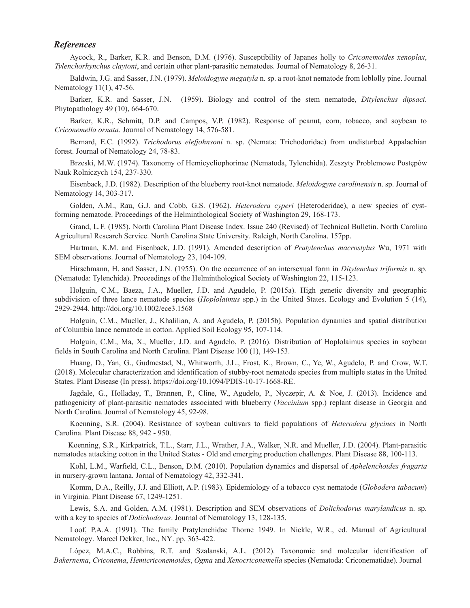## *References*

Aycock, R., Barker, K.R. and Benson, D.M. (1976). Susceptibility of Japanes holly to *Criconemoides xenoplax*, *Tylenchorhynchus claytoni*, and certain other plant-parasitic nematodes. Journal of Nematology 8, 26-31.

Baldwin, J.G. and Sasser, J.N. (1979). *Meloidogyne megatyla* n. sp. a root-knot nematode from loblolly pine. Journal Nematology 11(1), 47-56.

Barker, K.R. and Sasser, J.N. (1959). Biology and control of the stem nematode, *Ditylenchus dipsaci*. Phytopathology 49 (10), 664-670.

Barker, K.R., Schmitt, D.P. and Campos, V.P. (1982). Response of peanut, corn, tobacco, and soybean to *Criconemella ornata*. Journal of Nematology 14, 576-581.

Bernard, E.C. (1992). *Trichodorus elefjohnsoni* n. sp. (Nemata: Trichodoridae) from undisturbed Appalachian forest. Journal of Nematology 24, 78-83.

Brzeski, M.W. (1974). Taxonomy of Hemicycliophorinae (Nematoda, Tylenchida). Zeszyty Problemowe Postępów Nauk Rolniczych 154, 237-330.

Eisenback, J.D. (1982). Description of the blueberry root-knot nematode. *Meloidogyne carolinensis* n. sp. Journal of Nematology 14, 303-317.

Golden, A.M., Rau, G.J. and Cobb, G.S. (1962). *Heterodera cyperi* (Heteroderidae), a new species of cystforming nematode. Proceedings of the Helminthological Society of Washington 29, 168-173.

Grand, L.F. (1985). North Carolina Plant Disease Index. Issue 240 (Revised) of Technical Bulletin. North Carolina Agricultural Research Service. North Carolina State University. Raleigh, North Carolina. 157pp.

Hartman, K.M. and Eisenback, J.D. (1991). Amended description of *Pratylenchus macrostylus* Wu, 1971 with SEM observations. Journal of Nematology 23, 104-109.

Hirschmann, H. and Sasser, J.N. (1955). On the occurrence of an intersexual form in *Ditylenchus triformis* n. sp. (Nematoda: Tylenchida). Proceedings of the Helminthological Society of Washington 22, 115-123.

Holguin, C.M., Baeza, J.A., Mueller, J.D. and Agudelo, P. (2015a). High genetic diversity and geographic subdivision of three lance nematode species (*Hoplolaimus* spp.) in the United States. Ecology and Evolution 5 (14), 2929-2944. http://doi.org/10.1002/ece3.1568

Holguin, C.M., Mueller, J., Khalilian, A. and Agudelo, P. (2015b). Population dynamics and spatial distribution of Columbia lance nematode in cotton. Applied Soil Ecology 95, 107-114.

Holguin, C.M., Ma, X., Mueller, J.D. and Agudelo, P. (2016). Distribution of Hoplolaimus species in soybean fields in South Carolina and North Carolina. Plant Disease 100 (1), 149-153.

Huang, D., Yan, G., Gudmestad, N., Whitworth, J.L., Frost, K., Brown, C., Ye, W., Agudelo, P. and Crow, W.T. (2018). Molecular characterization and identification of stubby-root nematode species from multiple states in the United States. Plant Disease (In press). https://doi.org/10.1094/PDIS-10-17-1668-RE.

Jagdale, G., Holladay, T., Brannen, P., Cline, W., Agudelo, P., Nyczepir, A. & Noe, J. (2013). Incidence and pathogenicity of plant-parasitic nematodes associated with blueberry (*Vaccinium* spp.) replant disease in Georgia and North Carolina. Journal of Nematology 45, 92-98.

Koenning, S.R. (2004). Resistance of soybean cultivars to field populations of *Heterodera glycines* in North Carolina. Plant Disease 88, 942 - 950.

 Koenning, S.R., Kirkpatrick, T.L., Starr, J.L., Wrather, J.A., Walker, N.R. and Mueller, J.D. (2004). Plant-parasitic nematodes attacking cotton in the United States - Old and emerging production challenges. Plant Disease 88, 100-113.

Kohl, L.M., Warfield, C.L., Benson, D.M. (2010). Population dynamics and dispersal of *Aphelenchoides fragaria* in nursery-grown lantana. Jornal of Nematology 42, 332-341.

Komm, D.A., Reilly, J.J. and Elliott, A.P. (1983). Epidemiology of a tobacco cyst nematode (*Globodera tabacum*) in Virginia. Plant Disease 67, 1249-1251.

Lewis, S.A. and Golden, A.M. (1981). Description and SEM observations of *Dolichodorus marylandicus* n. sp. with a key to species of *Dolichodorus*. Journal of Nematology 13, 128-135.

Loof, P.A.A. (1991). The family Pratylenchidae Thorne 1949. In Nickle, W.R., ed. Manual of Agricultural Nematology. Marcel Dekker, Inc., NY. pp. 363-422.

 López, M.A.C., Robbins, R.T. and Szalanski, A.L. (2012). Taxonomic and molecular identification of *Bakernema*, *Criconema*, *Hemicriconemoides*, *Ogma* and *Xenocriconemella* species (Nematoda: Criconematidae). Journal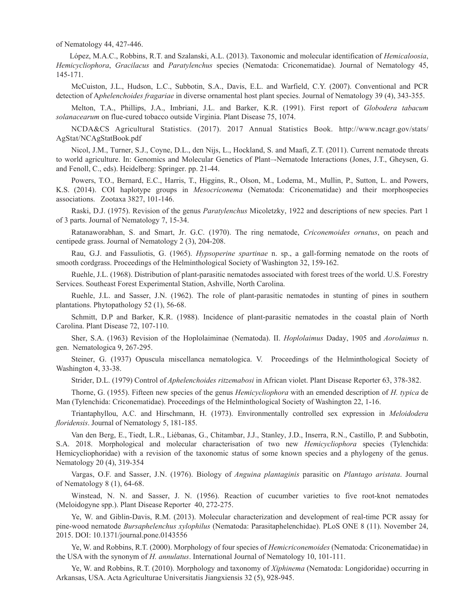of Nematology 44, 427-446.

 López, M.A.C., Robbins, R.T. and Szalanski, A.L. (2013). Taxonomic and molecular identification of *Hemicaloosia*, *Hemicycliophora*, *Gracilacus* and *Paratylenchus* species (Nematoda: Criconematidae). Journal of Nematology 45, 145-171.

McCuiston, J.L., Hudson, L.C., Subbotin, S.A., Davis, E.L. and Warfield, C.Y. (2007). Conventional and PCR detection of A*phelenchoides fragariae* in diverse ornamental host plant species. Journal of Nematology 39 (4), 343-355.

Melton, T.A., Phillips, J.A., Imbriani, J.L. and Barker, K.R. (1991). First report of *Globodera tabacum solanacearum* on flue-cured tobacco outside Virginia. Plant Disease 75, 1074.

NCDA&CS Agricultural Statistics. (2017). 2017 Annual Statistics Book. http://www.ncagr.gov/stats/ AgStat/NCAgStatBook.pdf

Nicol, J.M., Turner, S.J., Coyne, D.L., den Nijs, L., Hockland, S. and Maafi, Z.T. (2011). Current nematode threats to world agriculture. In: Genomics and Molecular Genetics of Plant–-Nematode Interactions (Jones, J.T., Gheysen, G. and Fenoll, C., eds). Heidelberg: Springer. pp. 21-44.

Powers, T.O., Bernard, E.C., Harris, T., Higgins, R., Olson, M., Lodema, M., Mullin, P., Sutton, L. and Powers, K.S. (2014). COI haplotype groups in *Mesocriconema* (Nematoda: Criconematidae) and their morphospecies associations. Zootaxa 3827, 101-146.

Raski, D.J. (1975). Revision of the genus *Paratylenchus* Micoletzky, 1922 and descriptions of new species. Part 1 of 3 parts. Journal of Nematology 7, 15-34.

Ratanaworabhan, S. and Smart, Jr. G.C. (1970). The ring nematode, *Criconemoides ornatus*, on peach and centipede grass. Journal of Nematology 2 (3), 204-208.

Rau, G.J. and Fassuliotis, G. (1965). *Hypsoperine spartinae* n. sp., a gall-forming nematode on the roots of smooth cordgrass. Proceedings of the Helminthological Society of Washington 32, 159-162.

Ruehle, J.L. (1968). Distribution of plant-parasitic nematodes associated with forest trees of the world. U.S. Forestry Services. Southeast Forest Experimental Station, Ashville, North Carolina.

Ruehle, J.L. and Sasser, J.N. (1962). The role of plant-parasitic nematodes in stunting of pines in southern plantations. Phytopathology 52 (1), 56-68.

Schmitt, D.P and Barker, K.R. (1988). Incidence of plant-parasitic nematodes in the coastal plain of North Carolina. Plant Disease 72, 107-110.

Sher, S.A. (1963) Revision of the Hoplolaiminae (Nematoda). II. *Hoplolaimus* Daday, 1905 and *Aorolaimus* n. gen. Nematologica 9, 267-295.

Steiner, G. (1937) Opuscula miscellanca nematologica. V. Proceedings of the Helminthological Society of Washington 4, 33-38.

Strider, D.L. (1979) Control of *Aphelenchoides ritzemabosi* in African violet. Plant Disease Reporter 63, 378-382.

Thorne, G. (1955). Fifteen new species of the genus *Hemicycliophora* with an emended description of *H. typica* de Man (Tylenchida: Criconematidae). Proceedings of the Helminthological Society of Washington 22, 1-16.

Triantaphyllou, A.C. and Hirschmann, H. (1973). Environmentally controlled sex expression in *Meloidodera floridensis*. Journal of Nematology 5, 181-185.

Van den Berg, E., Tiedt, L.R., Liébanas, G., Chitambar, J.J., Stanley, J.D., Inserra, R.N., Castillo, P. and Subbotin, S.A. 2018. Morphological and molecular characterisation of two new *Hemicycliophora* species (Tylenchida: Hemicycliophoridae) with a revision of the taxonomic status of some known species and a phylogeny of the genus. Nematology 20 (4), 319-354

Vargas, O.F. and Sasser, J.N. (1976). Biology of *Anguina plantaginis* parasitic on *Plantago aristata*. Journal of Nematology 8 (1), 64-68.

Winstead, N. N. and Sasser, J. N. (1956). Reaction of cucumber varieties to five root-knot nematodes (Meloidogyne spp.). Plant Disease Reporter 40, 272-275.

Ye, W. and Giblin-Davis, R.M. (2013). Molecular characterization and development of real-time PCR assay for pine-wood nematode *Bursaphelenchus xylophilus* (Nematoda: Parasitaphelenchidae). PLoS ONE 8 (11). November 24, 2015. DOI: 10.1371/journal.pone.0143556

Ye, W. and Robbins, R.T. (2000). Morphology of four species of *Hemicriconemoides* (Nematoda: Criconematidae) in the USA with the synonym of *H. annulatus*. International Journal of Nematology 10, 101-111.

Ye, W. and Robbins, R.T. (2010). Morphology and taxonomy of *Xiphinema* (Nematoda: Longidoridae) occurring in Arkansas, USA. Acta Agriculturae Universitatis Jiangxiensis 32 (5), 928-945.